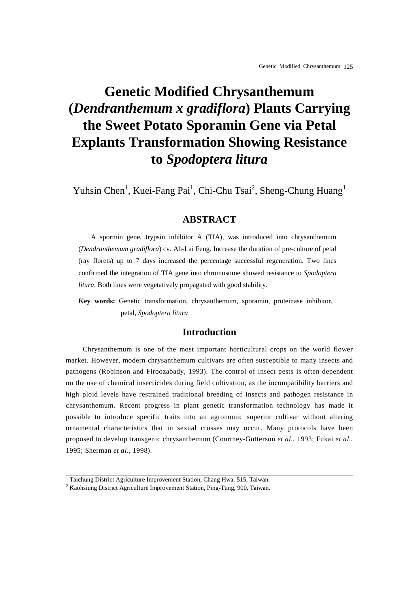# **Genetic Modified Chrysanthemum (***Dendranthemum x gradiflora***) Plants Carrying the Sweet Potato Sporamin Gene via Petal Explants Transformation Showing Resistance to** *Spodoptera litura*

Yuhsin Chen<sup>1</sup>, Kuei-Fang Pai<sup>1</sup>, Chi-Chu Tsai<sup>2</sup>, Sheng-Chung Huang<sup>1</sup>

# **ABSTRACT**

A spormin gene, trypsin inhibitor A (TIA), was introduced into chrysanthemum (*Dendranthemum gradiflora*) cv. Ah-Lai Feng. Increase the duration of pre-culture of petal (ray florets) up to 7 days increased the percentage successful regeneration. Two lines confirmed the integration of TIA gene into chromosome showed resistance to *Spodoptera litura*. Both lines were vegetatively propagated with good stability.

**Key words:** Genetic transformation, chrysanthemum, sporamin, proteinase inhibitor, petal, *Spodoptera litura*

## **Introduction**

Chrysanthemum is one of the most important horticultural crops on the world flower market. However, modern chrysanthemum cultivars are often susceptible to many insects and pathogens (Robinson and Firoozabady, 1993). The control of insect pests is often dependent on the use of chemical insecticides during field cultivation, as the incompatibility barriers and high ploid levels have restrained traditional breeding of insects and pathogen resistance in chrysanthemum. Recent progress in plant genetic transformation technology has made it possible to introduce specific traits into an agronomic superior cultivar without altering ornamental characteristics that in sexual crosses may occur. Many protocols have been proposed to develop transgenic chrysanthemum (Courtney-Gutterson *et al*., 1993; Fukai *et al*., 1995; Sherman *et al*., 1998).

<sup>&</sup>lt;sup>1</sup> Taichung District Agriculture Improvement Station, Chang Hwa, 515, Taiwan.

<sup>&</sup>lt;sup>2</sup> Kaohsiung District Agriculture Improvement Station, Ping-Tung, 900, Taiwan.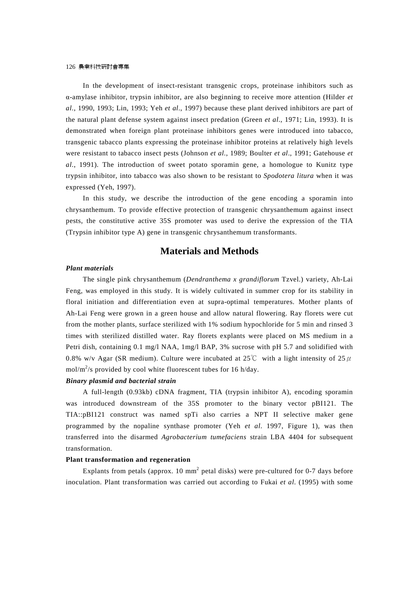In the development of insect-resistant transgenic crops, proteinase inhibitors such as α-amylase inhibitor, trypsin inhibitor, are also beginning to receive more attention (Hilder *et al*., 1990, 1993; Lin, 1993; Yeh *et al*., 1997) because these plant derived inhibitors are part of the natural plant defense system against insect predation (Green *et al*., 1971; Lin, 1993). It is demonstrated when foreign plant proteinase inhibitors genes were introduced into tabacco, transgenic tabacco plants expressing the proteinase inhibitor proteins at relatively high levels were resistant to tabacco insect pests (Johnson *et al*., 1989; Boulter *et al*., 1991; Gatehouse *et al*., 1991). The introduction of sweet potato sporamin gene, a homologue to Kunitz type trypsin inhibitor, into tabacco was also shown to be resistant to *Spodotera litura* when it was expressed (Yeh, 1997).

In this study, we describe the introduction of the gene encoding a sporamin into chrysanthemum. To provide effective protection of transgenic chrysanthemum against insect pests, the constitutive active 35S promoter was used to derive the expression of the TIA (Trypsin inhibitor type A) gene in transgenic chrysanthemum transformants.

## **Materials and Methods**

#### *Plant materials*

The single pink chrysanthemum (*Dendranthema x grandiflorum* Tzvel.) variety, Ah-Lai Feng, was employed in this study. It is widely cultivated in summer crop for its stability in floral initiation and differentiation even at supra-optimal temperatures. Mother plants of Ah-Lai Feng were grown in a green house and allow natural flowering. Ray florets were cut from the mother plants, surface sterilized with 1% sodium hypochloride for 5 min and rinsed 3 times with sterilized distilled water. Ray florets explants were placed on MS medium in a Petri dish, containing 0.1 mg/l NAA, 1mg/l BAP, 3% sucrose with pH 5.7 and solidified with 0.8% w/v Agar (SR medium). Culture were incubated at 25°C with a light intensity of 25  $\mu$ mol/m<sup>2</sup>/s provided by cool white fluorescent tubes for 16 h/day.

## *Binary plasmid and bacterial strain*

A full-length (0.93kb) cDNA fragment, TIA (trypsin inhibitor A), encoding sporamin was introduced downstream of the 35S promoter to the binary vector pBI121. The TIA::pBI121 construct was named spTi also carries a NPT II selective maker gene programmed by the nopaline synthase promoter (Yeh *et al*. 1997, Figure 1), was then transferred into the disarmed *Agrobacterium tumefaciens* strain LBA 4404 for subsequent transformation.

#### **Plant transformation and regeneration**

Explants from petals (approx. 10 mm<sup>2</sup> petal disks) were pre-cultured for 0-7 days before inoculation. Plant transformation was carried out according to Fukai *et al*. (1995) with some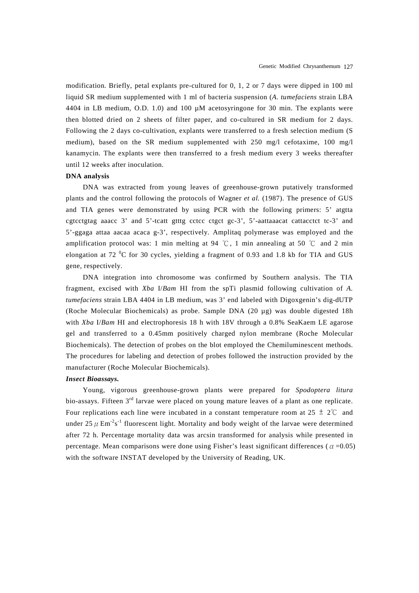modification. Briefly, petal explants pre-cultured for 0, 1, 2 or 7 days were dipped in 100 ml liquid SR medium supplemented with 1 ml of bacteria suspension (*A. tumefaciens* strain LBA 4404 in LB medium, O.D. 1.0) and 100 µM acetosyringone for 30 min. The explants were then blotted dried on 2 sheets of filter paper, and co-cultured in SR medium for 2 days. Following the 2 days co-cultivation, explants were transferred to a fresh selection medium (S medium), based on the SR medium supplemented with 250 mg/l cefotaxime, 100 mg/l kanamycin. The explants were then transferred to a fresh medium every 3 weeks thereafter until 12 weeks after inoculation.

#### **DNA analysis**

DNA was extracted from young leaves of greenhouse-grown putatively transformed plants and the control following the protocols of Wagner *et al.* (1987). The presence of GUS and TIA genes were demonstrated by using PCR with the following primers: 5' atgtta cgtcctgtag aaacc  $3'$  and  $5'$ -tcatt gtttg cctcc ctgct gc- $3'$ ,  $5'$ -aattaaacat cattacctct tc- $3'$  and 5'-ggaga attaa aacaa acaca g-3', respectively. Amplitaq polymerase was employed and the amplification protocol was: 1 min melting at 94 °C, 1 min annealing at 50 °C and 2 min elongation at 72 $\mathrm{^{0}C}$  for 30 cycles, yielding a fragment of 0.93 and 1.8 kb for TIA and GUS gene, respectively.

DNA integration into chromosome was confirmed by Southern analysis. The TIA fragment, excised with *Xba* I/*Bam* HI from the spTi plasmid following cultivation of *A. tumefaciens* strain LBA 4404 in LB medium, was 3' end labeled with Digoxgenin's dig-dUTP (Roche Molecular Biochemicals) as probe. Sample DNA (20 µg) was double digested 18h with *Xba* I/*Bam* HI and electrophoresis 18 h with 18V through a 0.8% SeaKaem LE agarose gel and transferred to a 0.45mm positively charged nylon membrane (Roche Molecular Biochemicals). The detection of probes on the blot employed the Chemiluminescent methods. The procedures for labeling and detection of probes followed the instruction provided by the manufacturer (Roche Molecular Biochemicals).

#### *Insect Bioassays.*

Young, vigorous greenhouse-grown plants were prepared for *Spodoptera litura* bio-assays. Fifteen 3<sup>rd</sup> larvae were placed on young mature leaves of a plant as one replicate. Four replications each line were incubated in a constant temperature room at  $25 \pm 2^{\circ}$  and under 25  $\mu$  Em<sup>-2</sup>s<sup>-1</sup> fluorescent light. Mortality and body weight of the larvae were determined after 72 h. Percentage mortality data was arcsin transformed for analysis while presented in percentage. Mean comparisons were done using Fisher's least significant differences ( $\alpha$  =0.05) with the software INSTAT developed by the University of Reading, UK.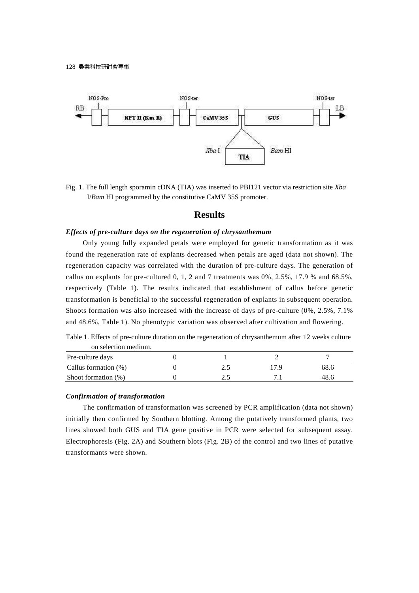

Fig. 1. The full length sporamin cDNA (TIA) was inserted to PBI121 vector via restriction site *Xba* I/*Bam* HI programmed by the constitutive CaMV 35S promoter.

## **Results**

### *Effects of pre-culture days on the regeneration of chrysanthemum*

Only young fully expanded petals were employed for genetic transformation as it was found the regeneration rate of explants decreased when petals are aged (data not shown). The regeneration capacity was correlated with the duration of pre-culture days. The generation of callus on explants for pre-cultured  $0, 1, 2$  and  $7$  treatments was  $0\%, 2.5\%, 17.9\%$  and  $68.5\%,$ respectively (Table 1). The results indicated that establishment of callus before genetic transformation is beneficial to the successful regeneration of explants in subsequent operation. Shoots formation was also increased with the increase of days of pre-culture (0%, 2.5%, 7.1% and 48.6%, Table 1). No phenotypic variation was observed after cultivation and flowering.

Table 1. Effects of pre-culture duration on the regeneration of chrysanthemum after 12 weeks culture on selection medium.

| Pre-culture days       |     |      |      |
|------------------------|-----|------|------|
| Callus formation (%)   | ن ک | 17 Q | 68.6 |
| Shoot formation $(\%)$ |     |      | 48.6 |

#### *Confirmation of transformation*

The confirmation of transformation was screened by PCR amplification (data not shown) initially then confirmed by Southern blotting. Among the putatively transformed plants, two lines showed both GUS and TIA gene positive in PCR were selected for subsequent assay. Electrophoresis (Fig. 2A) and Southern blots (Fig. 2B) of the control and two lines of putative transformants were shown.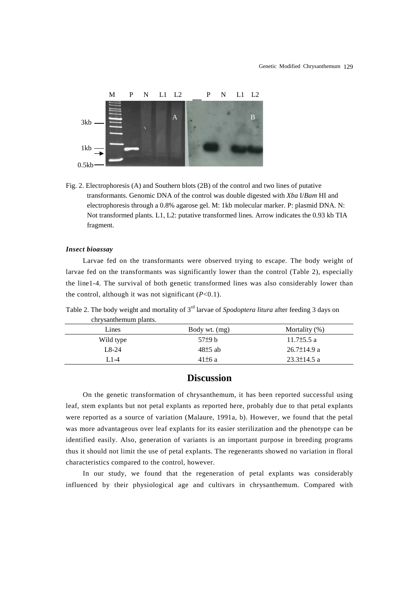

Fig. 2. Electrophoresis (A) and Southern blots (2B) of the control and two lines of putative transformants. Genomic DNA of the control was double digested with *Xba* I/*Bam* HI and electrophoresis through a 0.8% agarose gel. M: 1kb molecular marker. P: plasmid DNA. N: Not transformed plants. L1, L2: putative transformed lines. Arrow indicates the 0.93 kb TIA fragment.

#### *Insect bioassay*

Larvae fed on the transformants were observed trying to escape. The body weight of larvae fed on the transformants was significantly lower than the control (Table 2), especially the line1-4. The survival of both genetic transformed lines was also considerably lower than the control, although it was not significant  $(P<0.1)$ .

Table 2. The body weight and mortality of 3rd larvae of *Spodoptera litura* after feeding 3 days on chrysanthemum plants.

| Lines     | Body wt. (mg) | Mortality $(\%)$  |
|-----------|---------------|-------------------|
| Wild type | $57\pm9$ b    | $11.7\pm5.5$ a    |
| $L8-24$   | $48\pm5$ ab   | $26.7 \pm 14.9$ a |
| $1.1 - 4$ | $41\pm6$ a    | $23.3 \pm 14.5$ a |

## **Discussion**

On the genetic transformation of chrysanthemum, it has been reported successful using leaf, stem explants but not petal explants as reported here, probably due to that petal explants were reported as a source of variation (Malaure, 1991a, b). However, we found that the petal was more advantageous over leaf explants for its easier sterilization and the phenotype can be identified easily. Also, generation of variants is an important purpose in breeding programs thus it should not limit the use of petal explants. The regenerants showed no variation in floral characteristics compared to the control, however.

In our study, we found that the regeneration of petal explants was considerably influenced by their physiological age and cultivars in chrysanthemum. Compared with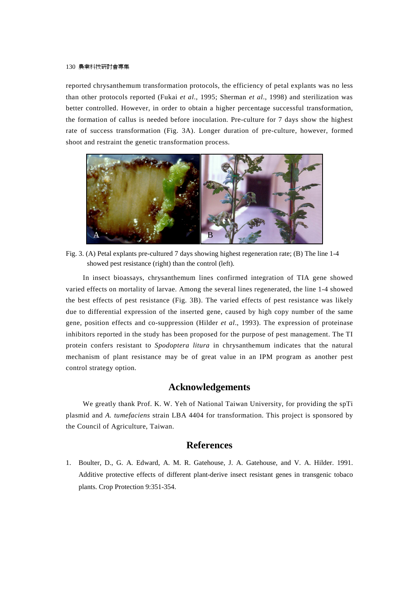#### 130 農業科技研討會專集

reported chrysanthemum transformation protocols, the efficiency of petal explants was no less than other protocols reported (Fukai *et al*., 1995; Sherman *et al*., 1998) and sterilization was better controlled. However, in order to obtain a higher percentage successful transformation, the formation of callus is needed before inoculation. Pre-culture for 7 days show the highest rate of success transformation (Fig. 3A). Longer duration of pre-culture, however, formed shoot and restraint the genetic transformation process.



Fig. 3. (A) Petal explants pre-cultured 7 days showing highest regeneration rate; (B) The line 1-4 showed pest resistance (right) than the control (left).

In insect bioassays, chrysanthemum lines confirmed integration of TIA gene showed varied effects on mortality of larvae. Among the several lines regenerated, the line 1-4 showed the best effects of pest resistance (Fig. 3B). The varied effects of pest resistance was likely due to differential expression of the inserted gene, caused by high copy number of the same gene, position effects and co-suppression (Hilder *et al*., 1993). The expression of proteinase inhibitors reported in the study has been proposed for the purpose of pest management. The TI protein confers resistant to *Spodoptera litura* in chrysanthemum indicates that the natural mechanism of plant resistance may be of great value in an IPM program as another pest control strategy option.

# **Acknowledgements**

We greatly thank Prof. K. W. Yeh of National Taiwan University, for providing the spTi plasmid and *A. tumefaciens* strain LBA 4404 for transformation. This project is sponsored by the Council of Agriculture, Taiwan.

## **References**

1. Boulter, D., G. A. Edward, A. M. R. Gatehouse, J. A. Gatehouse, and V. A. Hilder. 1991. Additive protective effects of different plant-derive insect resistant genes in transgenic tobaco plants. Crop Protection 9:351-354.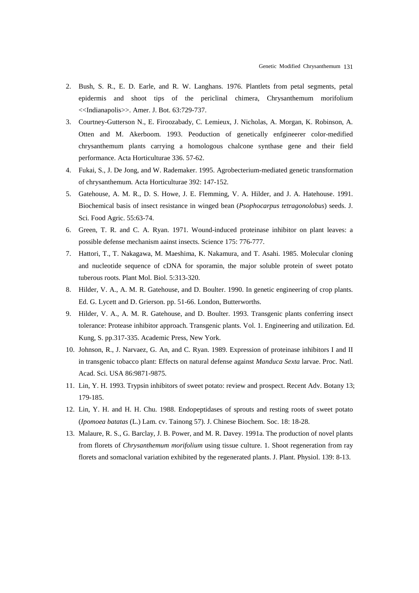- 2. Bush, S. R., E. D. Earle, and R. W. Langhans. 1976. Plantlets from petal segments, petal epidermis and shoot tips of the periclinal chimera, Chrysanthemum morifolium <<Indianapolis>>. Amer. J. Bot. 63:729-737.
- 3. Courtney-Gutterson N., E. Firoozabady, C. Lemieux, J. Nicholas, A. Morgan, K. Robinson, A. Otten and M. Akerboom. 1993. Peoduction of genetically enfgineerer color-medified chrysanthemum plants carrying a homologous chalcone synthase gene and their field performance. Acta Horticulturae 336. 57-62.
- 4. Fukai, S., J. De Jong, and W. Rademaker. 1995. Agrobecterium-mediated genetic transformation of chrysanthemum. Acta Horticulturae 392: 147-152.
- 5. Gatehouse, A. M. R., D. S. Howe, J. E. Flemming, V. A. Hilder, and J. A. Hatehouse. 1991. Biochemical basis of insect resistance in winged bean (*Psophocarpus tetragonolobus*) seeds. J. Sci. Food Agric. 55:63-74.
- 6. Green, T. R. and C. A. Ryan. 1971. Wound-induced proteinase inhibitor on plant leaves: a possible defense mechanism aainst insects. Science 175: 776-777.
- 7. Hattori, T., T. Nakagawa, M. Maeshima, K. Nakamura, and T. Asahi. 1985. Molecular cloning and nucleotide sequence of cDNA for sporamin, the major soluble protein of sweet potato tuberous roots. Plant Mol. Biol. 5:313-320.
- 8. Hilder, V. A., A. M. R. Gatehouse, and D. Boulter. 1990. In genetic engineering of crop plants. Ed. G. Lycett and D. Grierson. pp. 51-66. London, Butterworths.
- 9. Hilder, V. A., A. M. R. Gatehouse, and D. Boulter. 1993. Transgenic plants conferring insect tolerance: Protease inhibitor approach. Transgenic plants. Vol. 1. Engineering and utilization. Ed. Kung, S. pp.317-335. Academic Press, New York.
- 10. Johnson, R., J. Narvaez, G. An, and C. Ryan. 1989. Expression of proteinase inhibitors I and II in transgenic tobacco plant: Effects on natural defense against *Manduca Sexta* larvae. Proc. Natl. Acad. Sci. USA 86:9871-9875.
- 11. Lin, Y. H. 1993. Trypsin inhibitors of sweet potato: review and prospect. Recent Adv. Botany 13; 179-185.
- 12. Lin, Y. H. and H. H. Chu. 1988. Endopeptidases of sprouts and resting roots of sweet potato (*Ipomoea batatas* (L.) Lam. cv. Tainong 57). J. Chinese Biochem. Soc. 18: 18-28.
- 13. Malaure, R. S., G. Barclay, J. B. Power, and M. R. Davey. 1991a. The production of novel plants from florets of *Chrysanthemum morifolium* using tissue culture. 1. Shoot regeneration from ray florets and somaclonal variation exhibited by the regenerated plants. J. Plant. Physiol. 139: 8-13.